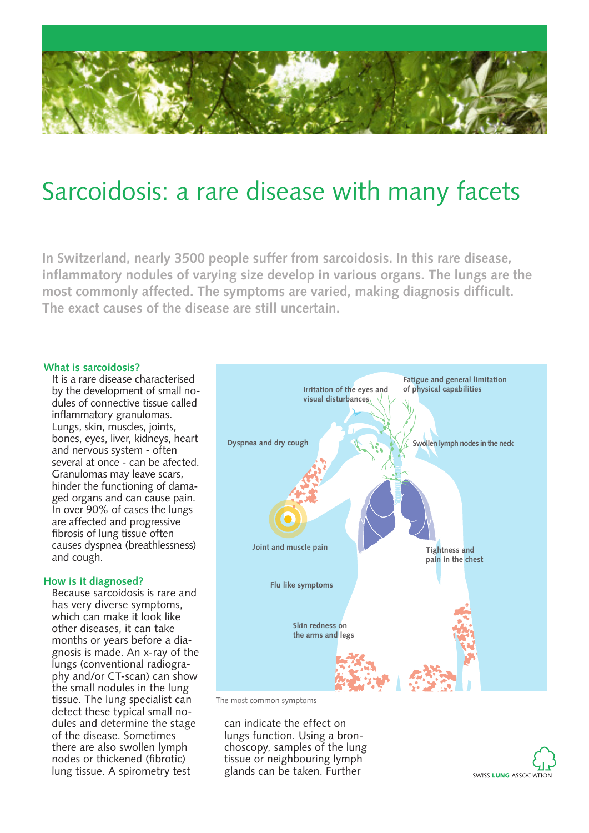

# Sarcoidosis: a rare disease with many facets

**In Switzerland, nearly 3500 people suffer from sarcoidosis. In this rare disease, inflammatory nodules of varying size develop in various organs. The lungs are the most commonly affected. The symptoms are varied, making diagnosis difficult. The exact causes of the disease are still uncertain.**

## **What is sarcoidosis?**

It is a rare disease characterised by the development of small nodules of connective tissue called inflammatory granulomas. Lungs, skin, muscles, joints, bones, eyes, liver, kidneys, heart and nervous system - often several at once - can be afected. Granulomas may leave scars, hinder the functioning of damaged organs and can cause pain. In over 90% of cases the lungs are affected and progressive fibrosis of lung tissue often causes dyspnea (breathlessness) and cough.

#### **How is it diagnosed?**

Because sarcoidosis is rare and has very diverse symptoms, which can make it look like other diseases, it can take months or years before a diagnosis is made. An x-ray of the lungs (conventional radiography and/or CT-scan) can show the small nodules in the lung tissue. The lung specialist can detect these typical small nodules and determine the stage of the disease. Sometimes there are also swollen lymph nodes or thickened (fibrotic) lung tissue. A spirometry test



The most common symptoms

can indicate the effect on lungs function. Using a bronchoscopy, samples of the lung tissue or neighbouring lymph glands can be taken. Further